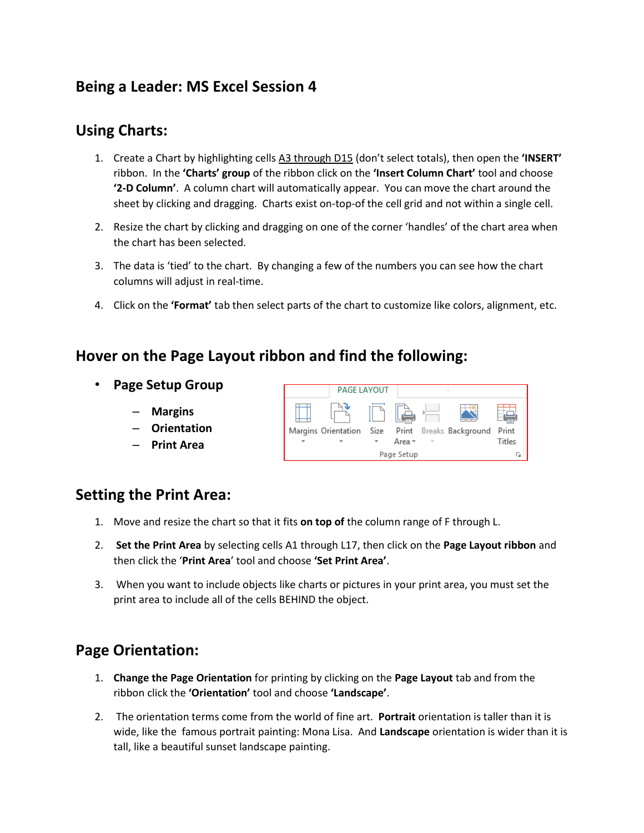# **Being a Leader: MS Excel Session 4**

#### **Using Charts:**

- 1. Create a Chart by highlighting cells A3 through D15 (don't select totals), then open the **'INSERT'** ribbon. In the **'Charts' group** of the ribbon click on the **'Insert Column Chart'** tool and choose **'2-D Column'**. A column chart will automatically appear. You can move the chart around the sheet by clicking and dragging. Charts exist on-top-of the cell grid and not within a single cell.
- 2. Resize the chart by clicking and dragging on one of the corner 'handles' of the chart area when the chart has been selected.
- 3. The data is 'tied' to the chart. By changing a few of the numbers you can see how the chart columns will adjust in real-time.
- 4. Click on the **'Format'** tab then select parts of the chart to customize like colors, alignment, etc.

#### **Hover on the Page Layout ribbon and find the following:**

- **Page Setup Group**
	- **Margins**
	- **Orientation**
	- **Print Area**



#### **Setting the Print Area:**

- 1. Move and resize the chart so that it fits **on top of** the column range of F through L.
- 2. **Set the Print Area** by selecting cells A1 through L17, then click on the **Page Layout ribbon** and then click the '**Print Area**' tool and choose **'Set Print Area'**.
- 3. When you want to include objects like charts or pictures in your print area, you must set the print area to include all of the cells BEHIND the object.

## **Page Orientation:**

- 1. **Change the Page Orientation** for printing by clicking on the **Page Layout** tab and from the ribbon click the **'Orientation'** tool and choose **'Landscape'**.
- 2. The orientation terms come from the world of fine art. **Portrait** orientation is taller than it is wide, like the famous portrait painting: Mona Lisa. And **Landscape** orientation is wider than it is tall, like a beautiful sunset landscape painting.